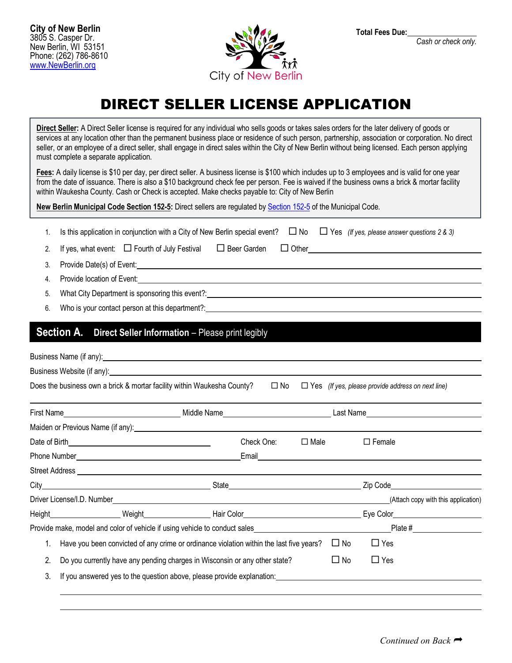

**Total Fees Due:** 

*Cash or check only.*

# DIRECT SELLER LICENSE APPLICATION

**Direct Seller:** A Direct Seller license is required for any individual who sells goods or takes sales orders for the later delivery of goods or services at any location other than the permanent business place or residence of such person, partnership, association or corporation. No direct seller, or an employee of a direct seller, shall engage in direct sales within the City of New Berlin without being licensed. Each person applying must complete a separate application.

**Fees:** A daily license is \$10 per day, per direct seller. A business license is \$100 which includes up to 3 employees and is valid for one year from the date of issuance. There is also a \$10 background check fee per person. Fee is waived if the business owns a brick & mortar facility within Waukesha County. Cash or Check is accepted. Make checks payable to: City of New Berlin

**New Berlin Municipal Code Section 152-5:** Direct sellers are regulated by [Section 152-5](https://ecode360.com/7765860) of the Municipal Code.

|  | 1. Is this application in conjunction with a City of New Berlin special event? $\Box$ No $\Box$ Yes (If yes, please answer questions 2 & 3) |  |  |  |
|--|---------------------------------------------------------------------------------------------------------------------------------------------|--|--|--|
|--|---------------------------------------------------------------------------------------------------------------------------------------------|--|--|--|

2. If yes, what event: Fourth of July Festival Beer Garden Other

- 3. Provide Date(s) of Event:
- 4. Provide location of Event:
- 5. What City Department is sponsoring this event?:
- 6. Who is your contact person at this department?:

## **Section A.** Direct Seller Information – Please print legibly

|                                                                                                                                                                       |  | Business Website (if any): example and the set of a set of a set of a set of a set of a set of a set of a set of a set of a set of a set of a set of a set of a set of a set of a set of a set of a set of a set of a set of a |              |                |           |                                                                                                                                        |
|-----------------------------------------------------------------------------------------------------------------------------------------------------------------------|--|--------------------------------------------------------------------------------------------------------------------------------------------------------------------------------------------------------------------------------|--------------|----------------|-----------|----------------------------------------------------------------------------------------------------------------------------------------|
|                                                                                                                                                                       |  | Does the business own a brick & mortar facility within Waukesha County?                                                                                                                                                        | $\square$ No |                |           | $\Box$ Yes (If yes, please provide address on next line)                                                                               |
|                                                                                                                                                                       |  |                                                                                                                                                                                                                                |              |                |           |                                                                                                                                        |
|                                                                                                                                                                       |  |                                                                                                                                                                                                                                |              |                |           |                                                                                                                                        |
|                                                                                                                                                                       |  |                                                                                                                                                                                                                                | Check One:   | $\square$ Male |           | $\Box$ Female                                                                                                                          |
|                                                                                                                                                                       |  |                                                                                                                                                                                                                                |              |                |           |                                                                                                                                        |
|                                                                                                                                                                       |  |                                                                                                                                                                                                                                |              |                |           |                                                                                                                                        |
|                                                                                                                                                                       |  |                                                                                                                                                                                                                                |              |                |           |                                                                                                                                        |
|                                                                                                                                                                       |  |                                                                                                                                                                                                                                |              |                |           | (Attach copy with this application)                                                                                                    |
|                                                                                                                                                                       |  |                                                                                                                                                                                                                                |              |                |           |                                                                                                                                        |
|                                                                                                                                                                       |  |                                                                                                                                                                                                                                |              |                |           | Provide make, model and color of vehicle if using vehicle to conduct sales example and the state of provide make $\frac{p}{n}$ Plate # |
| Have you been convicted of any crime or ordinance violation within the last five years?<br>Do you currently have any pending charges in Wisconsin or any other state? |  |                                                                                                                                                                                                                                |              |                | $\Box$ No | $\Box$ Yes                                                                                                                             |
|                                                                                                                                                                       |  |                                                                                                                                                                                                                                |              |                | $\Box$ No | $\Box$ Yes                                                                                                                             |
| 3.                                                                                                                                                                    |  | If you answered yes to the question above, please provide explanation:                                                                                                                                                         |              |                |           |                                                                                                                                        |
|                                                                                                                                                                       |  |                                                                                                                                                                                                                                |              |                |           |                                                                                                                                        |